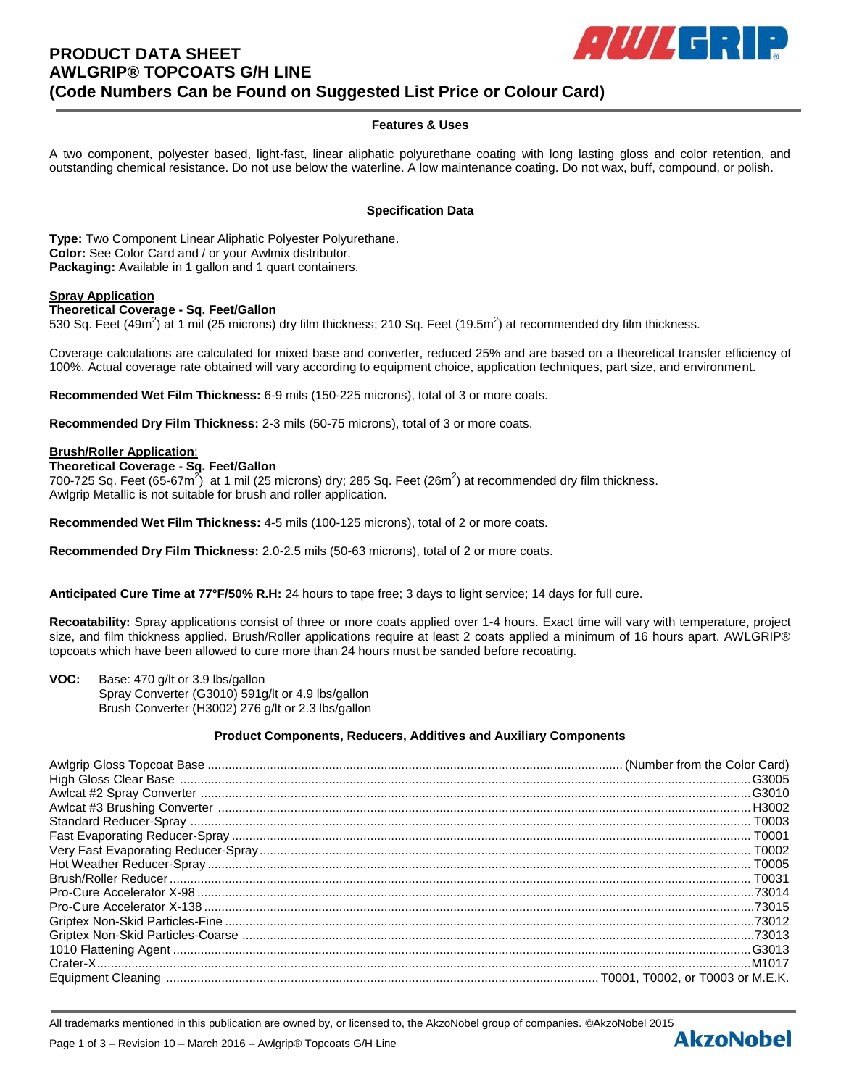# **PRODUCT DATA SHEET AWLGRIP® TOPCOATS G/H LINE (Code Numbers Can be Found on Suggested List Price or Colour Card)**

# $E[III]$  defined by

## **Features & Uses**

A two component, polyester based, light-fast, linear aliphatic polyurethane coating with long lasting gloss and color retention, and outstanding chemical resistance. Do not use below the waterline. A low maintenance coating. Do not wax, buff, compound, or polish.

#### **Specification Data**

**Type:** Two Component Linear Aliphatic Polyester Polyurethane. **Color:** See Color Card and / or your Awlmix distributor. **Packaging:** Available in 1 gallon and 1 quart containers.

#### **Spray Application**

## **Theoretical Coverage - Sq. Feet/Gallon**

530 Sq. Feet (49m<sup>2</sup>) at 1 mil (25 microns) dry film thickness; 210 Sq. Feet (19.5m<sup>2</sup>) at recommended dry film thickness.

Coverage calculations are calculated for mixed base and converter, reduced 25% and are based on a theoretical transfer efficiency of 100%. Actual coverage rate obtained will vary according to equipment choice, application techniques, part size, and environment.

**Recommended Wet Film Thickness:** 6-9 mils (150-225 microns), total of 3 or more coats.

**Recommended Dry Film Thickness:** 2-3 mils (50-75 microns), total of 3 or more coats.

#### **Brush/Roller Application**:

#### **Theoretical Coverage - Sq. Feet/Gallon**

700-725 Sq. Feet (65-67m<sup>2</sup>) at 1 mil (25 microns) dry; 285 Sq. Feet (26m<sup>2</sup>) at recommended dry film thickness. Awlgrip Metallic is not suitable for brush and roller application.

**Recommended Wet Film Thickness:** 4-5 mils (100-125 microns), total of 2 or more coats.

**Recommended Dry Film Thickness:** 2.0-2.5 mils (50-63 microns), total of 2 or more coats.

**Anticipated Cure Time at 77°F/50% R.H:** 24 hours to tape free; 3 days to light service; 14 days for full cure.

**Recoatability:** Spray applications consist of three or more coats applied over 1-4 hours. Exact time will vary with temperature, project size, and film thickness applied. Brush/Roller applications require at least 2 coats applied a minimum of 16 hours apart. AWLGRIP® topcoats which have been allowed to cure more than 24 hours must be sanded before recoating.

**VOC:** Base: 470 g/lt or 3.9 lbs/gallon Spray Converter (G3010) 591g/lt or 4.9 lbs/gallon Brush Converter (H3002) 276 g/lt or 2.3 lbs/gallon

## **Product Components, Reducers, Additives and Auxiliary Components**

All trademarks mentioned in this publication are owned by, or licensed to, the AkzoNobel group of companies. ©AkzoNobel 2015<br>Page 1 of 3 – Revision 10 – March 2016 – Awlgrin® Topcoats G/H Line Page 1 of 3 – Revision 10 – March 2016 – Awlgrip® Topcoats G/H Line

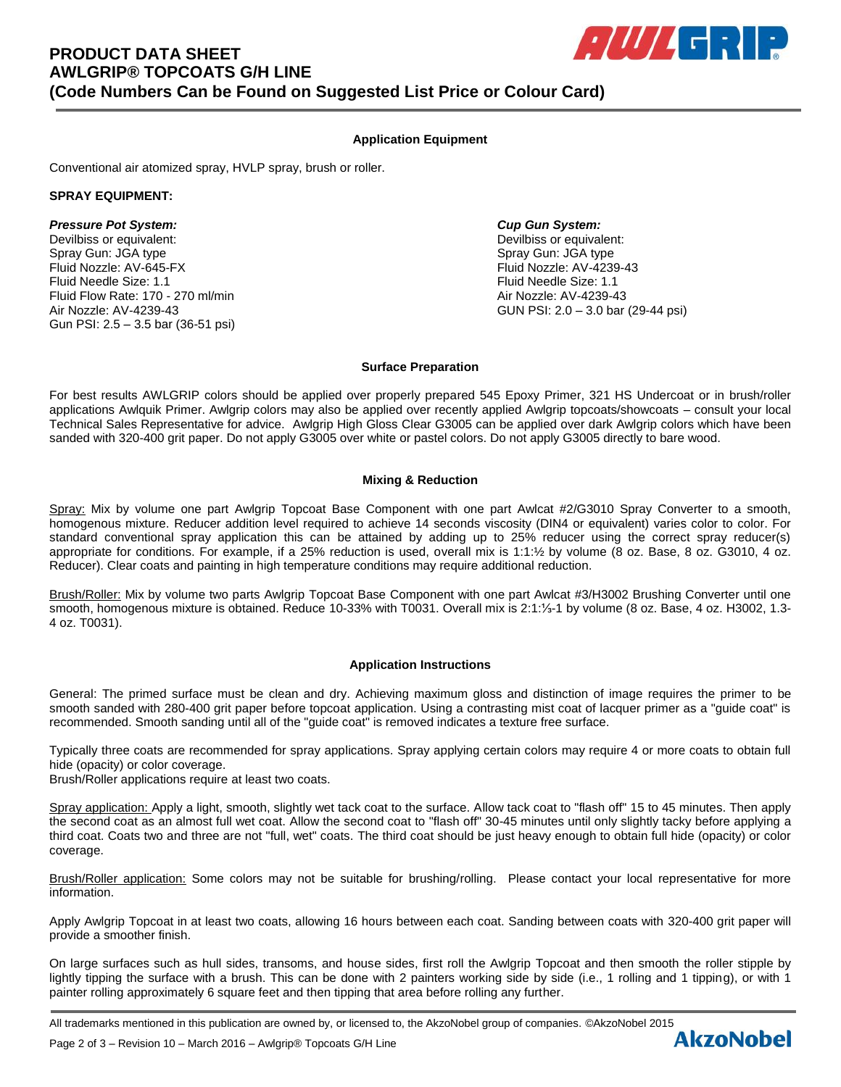## **Application Equipment**

Conventional air atomized spray, HVLP spray, brush or roller.

## **SPRAY EQUIPMENT:**

## *Pressure Pot System: Cup Gun System:*

Devilbiss or equivalent: Devilbiss or equivalent: Spray Gun: JGA type Spray Gun: JGA type Spray Gun: JGA type Spray Gun: JGA type Spray Gun: JGA type Fluid Nozzle: AV-645-FX Fluid Nozzle: AV-4239-43 Fluid Needle Size: 1.1 Fluid Needle Size: 1.1 Fluid Flow Rate: 170 - 270 ml/min Air Nozzle: AV-4239-43 Air Nozzle: AV-4239-43 GUN PSI: 2.0 – 3.0 bar (29-44 psi) Gun PSI: 2.5 – 3.5 bar (36-51 psi)

## **Surface Preparation**

For best results AWLGRIP colors should be applied over properly prepared 545 Epoxy Primer, 321 HS Undercoat or in brush/roller applications Awlquik Primer. Awlgrip colors may also be applied over recently applied Awlgrip topcoats/showcoats – consult your local Technical Sales Representative for advice. Awlgrip High Gloss Clear G3005 can be applied over dark Awlgrip colors which have been sanded with 320-400 grit paper. Do not apply G3005 over white or pastel colors. Do not apply G3005 directly to bare wood.

## **Mixing & Reduction**

Spray: Mix by volume one part Awlgrip Topcoat Base Component with one part Awlcat #2/G3010 Spray Converter to a smooth, homogenous mixture. Reducer addition level required to achieve 14 seconds viscosity (DIN4 or equivalent) varies color to color. For standard conventional spray application this can be attained by adding up to 25% reducer using the correct spray reducer(s) appropriate for conditions. For example, if a 25% reduction is used, overall mix is 1:1:½ by volume (8 oz. Base, 8 oz. G3010, 4 oz. Reducer). Clear coats and painting in high temperature conditions may require additional reduction.

Brush/Roller: Mix by volume two parts Awlgrip Topcoat Base Component with one part Awlcat #3/H3002 Brushing Converter until one smooth, homogenous mixture is obtained. Reduce 10-33% with T0031. Overall mix is 2:1:⅓-1 by volume (8 oz. Base, 4 oz. H3002, 1.3- 4 oz. T0031).

## **Application Instructions**

General: The primed surface must be clean and dry. Achieving maximum gloss and distinction of image requires the primer to be smooth sanded with 280-400 grit paper before topcoat application. Using a contrasting mist coat of lacquer primer as a "guide coat" is recommended. Smooth sanding until all of the "guide coat" is removed indicates a texture free surface.

Typically three coats are recommended for spray applications. Spray applying certain colors may require 4 or more coats to obtain full hide (opacity) or color coverage.

Brush/Roller applications require at least two coats.

Spray application: Apply a light, smooth, slightly wet tack coat to the surface. Allow tack coat to "flash off" 15 to 45 minutes. Then apply the second coat as an almost full wet coat. Allow the second coat to "flash off" 30-45 minutes until only slightly tacky before applying a third coat. Coats two and three are not "full, wet" coats. The third coat should be just heavy enough to obtain full hide (opacity) or color coverage.

Brush/Roller application: Some colors may not be suitable for brushing/rolling. Please contact your local representative for more information.

Apply Awlgrip Topcoat in at least two coats, allowing 16 hours between each coat. Sanding between coats with 320-400 grit paper will provide a smoother finish.

On large surfaces such as hull sides, transoms, and house sides, first roll the Awlgrip Topcoat and then smooth the roller stipple by lightly tipping the surface with a brush. This can be done with 2 painters working side by side (i.e., 1 rolling and 1 tipping), or with 1 painter rolling approximately 6 square feet and then tipping that area before rolling any further.

All trademarks mentioned in this publication are owned by, or licensed to, the AkzoNobel group of companies. ©AkzoNobel 2015<br>Page 2 of 3 – Revision 10 – March 2016 – Awlgrin® Topcoats G/H Line